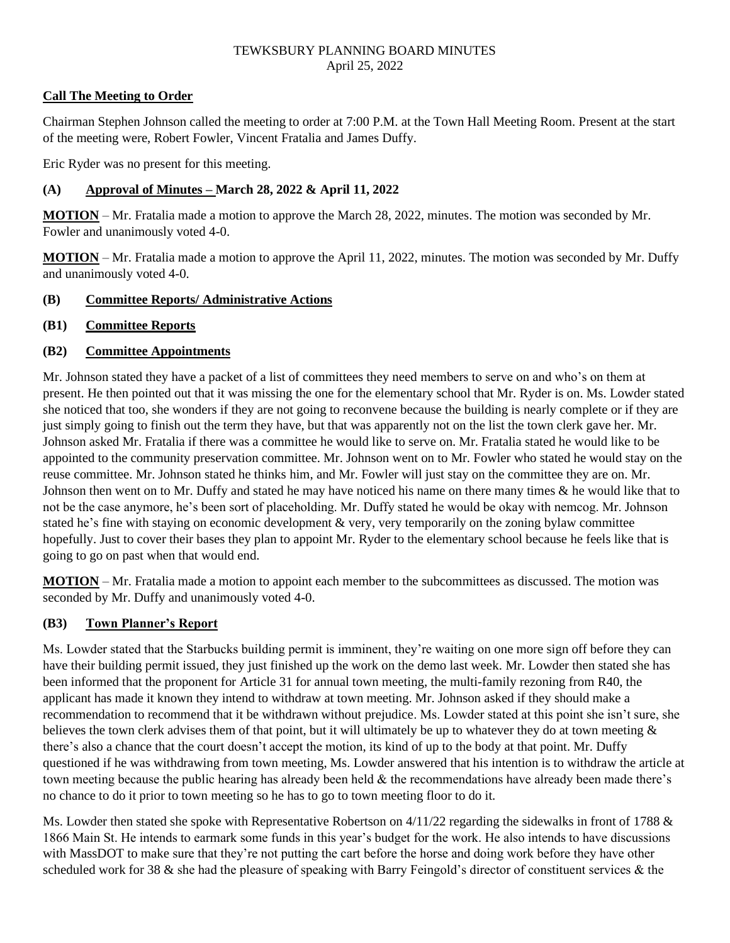## **Call The Meeting to Order**

Chairman Stephen Johnson called the meeting to order at 7:00 P.M. at the Town Hall Meeting Room. Present at the start of the meeting were, Robert Fowler, Vincent Fratalia and James Duffy.

Eric Ryder was no present for this meeting.

# **(A) Approval of Minutes – March 28, 2022 & April 11, 2022**

**MOTION** – Mr. Fratalia made a motion to approve the March 28, 2022, minutes. The motion was seconded by Mr. Fowler and unanimously voted 4-0.

**MOTION** – Mr. Fratalia made a motion to approve the April 11, 2022, minutes. The motion was seconded by Mr. Duffy and unanimously voted 4-0.

## **(B) Committee Reports/ Administrative Actions**

## **(B1) Committee Reports**

## **(B2) Committee Appointments**

Mr. Johnson stated they have a packet of a list of committees they need members to serve on and who's on them at present. He then pointed out that it was missing the one for the elementary school that Mr. Ryder is on. Ms. Lowder stated she noticed that too, she wonders if they are not going to reconvene because the building is nearly complete or if they are just simply going to finish out the term they have, but that was apparently not on the list the town clerk gave her. Mr. Johnson asked Mr. Fratalia if there was a committee he would like to serve on. Mr. Fratalia stated he would like to be appointed to the community preservation committee. Mr. Johnson went on to Mr. Fowler who stated he would stay on the reuse committee. Mr. Johnson stated he thinks him, and Mr. Fowler will just stay on the committee they are on. Mr. Johnson then went on to Mr. Duffy and stated he may have noticed his name on there many times & he would like that to not be the case anymore, he's been sort of placeholding. Mr. Duffy stated he would be okay with nemcog. Mr. Johnson stated he's fine with staying on economic development & very, very temporarily on the zoning bylaw committee hopefully. Just to cover their bases they plan to appoint Mr. Ryder to the elementary school because he feels like that is going to go on past when that would end.

**MOTION** – Mr. Fratalia made a motion to appoint each member to the subcommittees as discussed. The motion was seconded by Mr. Duffy and unanimously voted 4-0.

### **(B3) Town Planner's Report**

Ms. Lowder stated that the Starbucks building permit is imminent, they're waiting on one more sign off before they can have their building permit issued, they just finished up the work on the demo last week. Mr. Lowder then stated she has been informed that the proponent for Article 31 for annual town meeting, the multi-family rezoning from R40, the applicant has made it known they intend to withdraw at town meeting. Mr. Johnson asked if they should make a recommendation to recommend that it be withdrawn without prejudice. Ms. Lowder stated at this point she isn't sure, she believes the town clerk advises them of that point, but it will ultimately be up to whatever they do at town meeting & there's also a chance that the court doesn't accept the motion, its kind of up to the body at that point. Mr. Duffy questioned if he was withdrawing from town meeting, Ms. Lowder answered that his intention is to withdraw the article at town meeting because the public hearing has already been held & the recommendations have already been made there's no chance to do it prior to town meeting so he has to go to town meeting floor to do it.

Ms. Lowder then stated she spoke with Representative Robertson on  $4/11/22$  regarding the sidewalks in front of 1788  $\&$ 1866 Main St. He intends to earmark some funds in this year's budget for the work. He also intends to have discussions with MassDOT to make sure that they're not putting the cart before the horse and doing work before they have other scheduled work for 38 & she had the pleasure of speaking with Barry Feingold's director of constituent services & the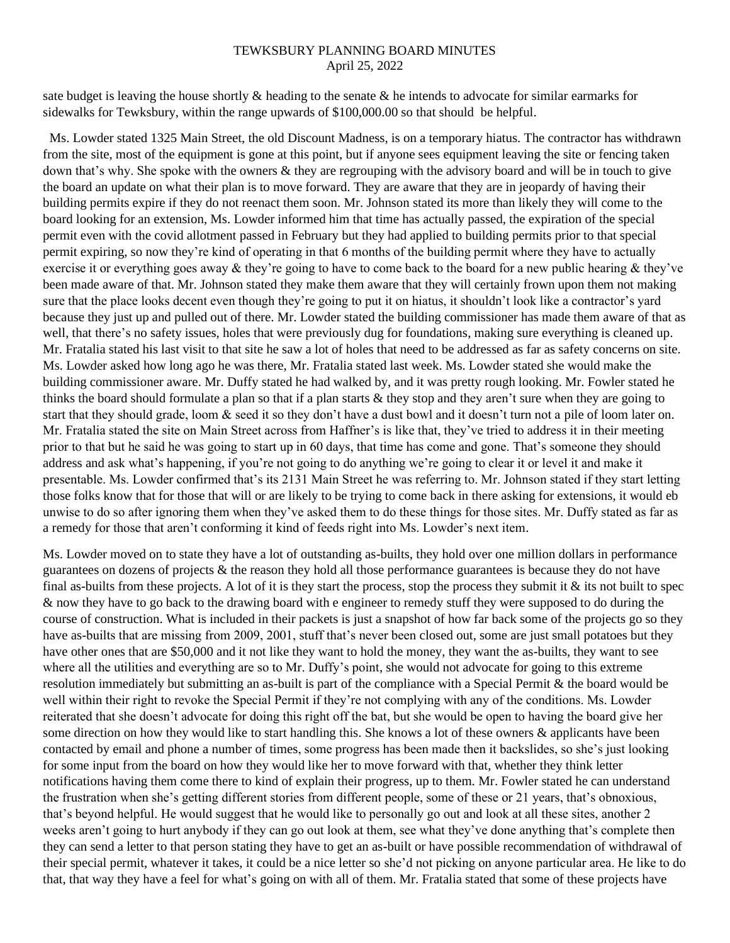sate budget is leaving the house shortly  $\&$  heading to the senate  $\&$  he intends to advocate for similar earmarks for sidewalks for Tewksbury, within the range upwards of \$100,000.00 so that should be helpful.

Ms. Lowder stated 1325 Main Street, the old Discount Madness, is on a temporary hiatus. The contractor has withdrawn from the site, most of the equipment is gone at this point, but if anyone sees equipment leaving the site or fencing taken down that's why. She spoke with the owners & they are regrouping with the advisory board and will be in touch to give the board an update on what their plan is to move forward. They are aware that they are in jeopardy of having their building permits expire if they do not reenact them soon. Mr. Johnson stated its more than likely they will come to the board looking for an extension, Ms. Lowder informed him that time has actually passed, the expiration of the special permit even with the covid allotment passed in February but they had applied to building permits prior to that special permit expiring, so now they're kind of operating in that 6 months of the building permit where they have to actually exercise it or everything goes away & they're going to have to come back to the board for a new public hearing & they've been made aware of that. Mr. Johnson stated they make them aware that they will certainly frown upon them not making sure that the place looks decent even though they're going to put it on hiatus, it shouldn't look like a contractor's yard because they just up and pulled out of there. Mr. Lowder stated the building commissioner has made them aware of that as well, that there's no safety issues, holes that were previously dug for foundations, making sure everything is cleaned up. Mr. Fratalia stated his last visit to that site he saw a lot of holes that need to be addressed as far as safety concerns on site. Ms. Lowder asked how long ago he was there, Mr. Fratalia stated last week. Ms. Lowder stated she would make the building commissioner aware. Mr. Duffy stated he had walked by, and it was pretty rough looking. Mr. Fowler stated he thinks the board should formulate a plan so that if a plan starts & they stop and they aren't sure when they are going to start that they should grade, loom & seed it so they don't have a dust bowl and it doesn't turn not a pile of loom later on. Mr. Fratalia stated the site on Main Street across from Haffner's is like that, they've tried to address it in their meeting prior to that but he said he was going to start up in 60 days, that time has come and gone. That's someone they should address and ask what's happening, if you're not going to do anything we're going to clear it or level it and make it presentable. Ms. Lowder confirmed that's its 2131 Main Street he was referring to. Mr. Johnson stated if they start letting those folks know that for those that will or are likely to be trying to come back in there asking for extensions, it would eb unwise to do so after ignoring them when they've asked them to do these things for those sites. Mr. Duffy stated as far as a remedy for those that aren't conforming it kind of feeds right into Ms. Lowder's next item.

Ms. Lowder moved on to state they have a lot of outstanding as-builts, they hold over one million dollars in performance guarantees on dozens of projects & the reason they hold all those performance guarantees is because they do not have final as-builts from these projects. A lot of it is they start the process, stop the process they submit it  $\&$  its not built to spec & now they have to go back to the drawing board with e engineer to remedy stuff they were supposed to do during the course of construction. What is included in their packets is just a snapshot of how far back some of the projects go so they have as-builts that are missing from 2009, 2001, stuff that's never been closed out, some are just small potatoes but they have other ones that are \$50,000 and it not like they want to hold the money, they want the as-builts, they want to see where all the utilities and everything are so to Mr. Duffy's point, she would not advocate for going to this extreme resolution immediately but submitting an as-built is part of the compliance with a Special Permit & the board would be well within their right to revoke the Special Permit if they're not complying with any of the conditions. Ms. Lowder reiterated that she doesn't advocate for doing this right off the bat, but she would be open to having the board give her some direction on how they would like to start handling this. She knows a lot of these owners  $\&$  applicants have been contacted by email and phone a number of times, some progress has been made then it backslides, so she's just looking for some input from the board on how they would like her to move forward with that, whether they think letter notifications having them come there to kind of explain their progress, up to them. Mr. Fowler stated he can understand the frustration when she's getting different stories from different people, some of these or 21 years, that's obnoxious, that's beyond helpful. He would suggest that he would like to personally go out and look at all these sites, another 2 weeks aren't going to hurt anybody if they can go out look at them, see what they've done anything that's complete then they can send a letter to that person stating they have to get an as-built or have possible recommendation of withdrawal of their special permit, whatever it takes, it could be a nice letter so she'd not picking on anyone particular area. He like to do that, that way they have a feel for what's going on with all of them. Mr. Fratalia stated that some of these projects have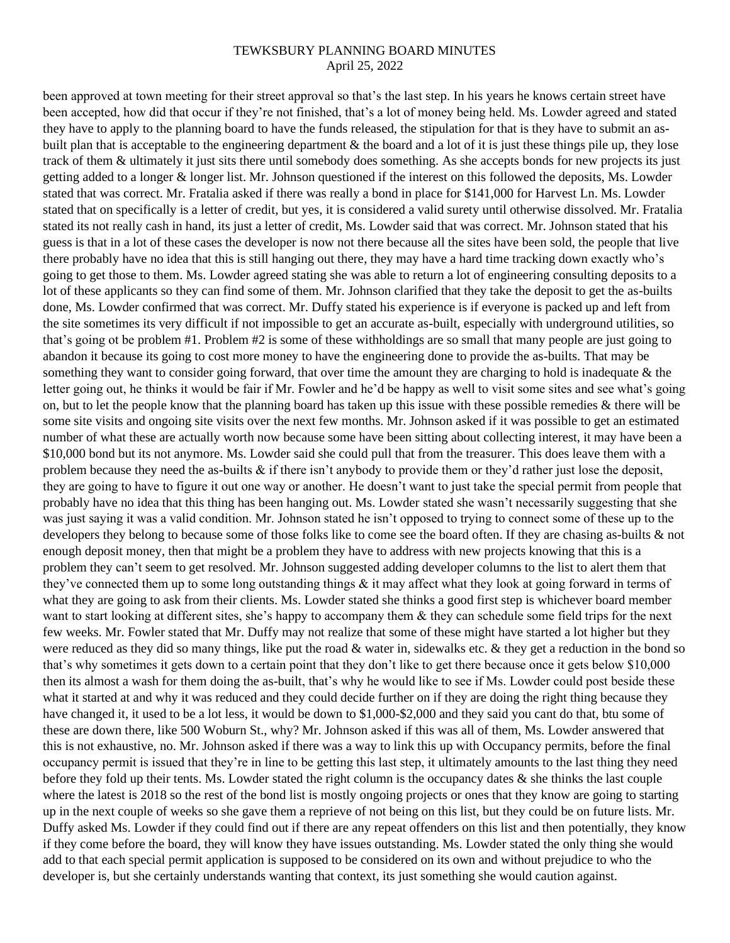been approved at town meeting for their street approval so that's the last step. In his years he knows certain street have been accepted, how did that occur if they're not finished, that's a lot of money being held. Ms. Lowder agreed and stated they have to apply to the planning board to have the funds released, the stipulation for that is they have to submit an asbuilt plan that is acceptable to the engineering department  $\&$  the board and a lot of it is just these things pile up, they lose track of them & ultimately it just sits there until somebody does something. As she accepts bonds for new projects its just getting added to a longer & longer list. Mr. Johnson questioned if the interest on this followed the deposits, Ms. Lowder stated that was correct. Mr. Fratalia asked if there was really a bond in place for \$141,000 for Harvest Ln. Ms. Lowder stated that on specifically is a letter of credit, but yes, it is considered a valid surety until otherwise dissolved. Mr. Fratalia stated its not really cash in hand, its just a letter of credit, Ms. Lowder said that was correct. Mr. Johnson stated that his guess is that in a lot of these cases the developer is now not there because all the sites have been sold, the people that live there probably have no idea that this is still hanging out there, they may have a hard time tracking down exactly who's going to get those to them. Ms. Lowder agreed stating she was able to return a lot of engineering consulting deposits to a lot of these applicants so they can find some of them. Mr. Johnson clarified that they take the deposit to get the as-builts done, Ms. Lowder confirmed that was correct. Mr. Duffy stated his experience is if everyone is packed up and left from the site sometimes its very difficult if not impossible to get an accurate as-built, especially with underground utilities, so that's going ot be problem #1. Problem #2 is some of these withholdings are so small that many people are just going to abandon it because its going to cost more money to have the engineering done to provide the as-builts. That may be something they want to consider going forward, that over time the amount they are charging to hold is inadequate  $\&$  the letter going out, he thinks it would be fair if Mr. Fowler and he'd be happy as well to visit some sites and see what's going on, but to let the people know that the planning board has taken up this issue with these possible remedies  $\&$  there will be some site visits and ongoing site visits over the next few months. Mr. Johnson asked if it was possible to get an estimated number of what these are actually worth now because some have been sitting about collecting interest, it may have been a \$10,000 bond but its not anymore. Ms. Lowder said she could pull that from the treasurer. This does leave them with a problem because they need the as-builts & if there isn't anybody to provide them or they'd rather just lose the deposit, they are going to have to figure it out one way or another. He doesn't want to just take the special permit from people that probably have no idea that this thing has been hanging out. Ms. Lowder stated she wasn't necessarily suggesting that she was just saying it was a valid condition. Mr. Johnson stated he isn't opposed to trying to connect some of these up to the developers they belong to because some of those folks like to come see the board often. If they are chasing as-builts & not enough deposit money, then that might be a problem they have to address with new projects knowing that this is a problem they can't seem to get resolved. Mr. Johnson suggested adding developer columns to the list to alert them that they've connected them up to some long outstanding things & it may affect what they look at going forward in terms of what they are going to ask from their clients. Ms. Lowder stated she thinks a good first step is whichever board member want to start looking at different sites, she's happy to accompany them  $\&$  they can schedule some field trips for the next few weeks. Mr. Fowler stated that Mr. Duffy may not realize that some of these might have started a lot higher but they were reduced as they did so many things, like put the road & water in, sidewalks etc. & they get a reduction in the bond so that's why sometimes it gets down to a certain point that they don't like to get there because once it gets below \$10,000 then its almost a wash for them doing the as-built, that's why he would like to see if Ms. Lowder could post beside these what it started at and why it was reduced and they could decide further on if they are doing the right thing because they have changed it, it used to be a lot less, it would be down to \$1,000-\$2,000 and they said you cant do that, btu some of these are down there, like 500 Woburn St., why? Mr. Johnson asked if this was all of them, Ms. Lowder answered that this is not exhaustive, no. Mr. Johnson asked if there was a way to link this up with Occupancy permits, before the final occupancy permit is issued that they're in line to be getting this last step, it ultimately amounts to the last thing they need before they fold up their tents. Ms. Lowder stated the right column is the occupancy dates  $\&$  she thinks the last couple where the latest is 2018 so the rest of the bond list is mostly ongoing projects or ones that they know are going to starting up in the next couple of weeks so she gave them a reprieve of not being on this list, but they could be on future lists. Mr. Duffy asked Ms. Lowder if they could find out if there are any repeat offenders on this list and then potentially, they know if they come before the board, they will know they have issues outstanding. Ms. Lowder stated the only thing she would add to that each special permit application is supposed to be considered on its own and without prejudice to who the developer is, but she certainly understands wanting that context, its just something she would caution against.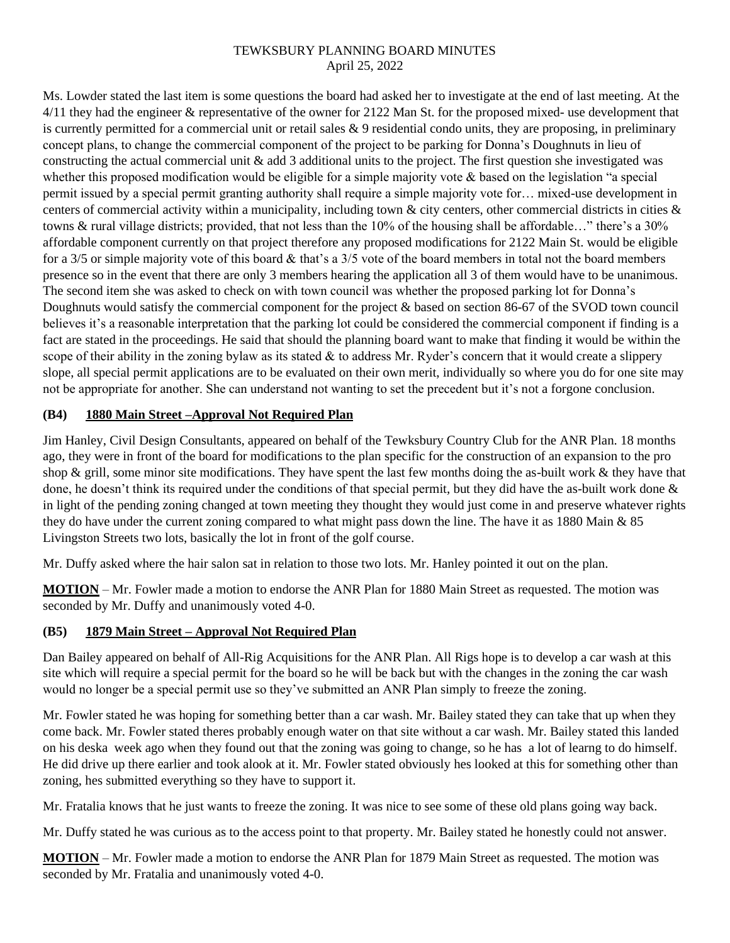Ms. Lowder stated the last item is some questions the board had asked her to investigate at the end of last meeting. At the 4/11 they had the engineer & representative of the owner for 2122 Man St. for the proposed mixed- use development that is currently permitted for a commercial unit or retail sales  $\&$  9 residential condo units, they are proposing, in preliminary concept plans, to change the commercial component of the project to be parking for Donna's Doughnuts in lieu of constructing the actual commercial unit & add 3 additional units to the project. The first question she investigated was whether this proposed modification would be eligible for a simple majority vote & based on the legislation "a special permit issued by a special permit granting authority shall require a simple majority vote for… mixed-use development in centers of commercial activity within a municipality, including town & city centers, other commercial districts in cities & towns & rural village districts; provided, that not less than the 10% of the housing shall be affordable…" there's a 30% affordable component currently on that project therefore any proposed modifications for 2122 Main St. would be eligible for a 3/5 or simple majority vote of this board & that's a 3/5 vote of the board members in total not the board members presence so in the event that there are only 3 members hearing the application all 3 of them would have to be unanimous. The second item she was asked to check on with town council was whether the proposed parking lot for Donna's Doughnuts would satisfy the commercial component for the project & based on section 86-67 of the SVOD town council believes it's a reasonable interpretation that the parking lot could be considered the commercial component if finding is a fact are stated in the proceedings. He said that should the planning board want to make that finding it would be within the scope of their ability in the zoning bylaw as its stated  $&$  to address Mr. Ryder's concern that it would create a slippery slope, all special permit applications are to be evaluated on their own merit, individually so where you do for one site may not be appropriate for another. She can understand not wanting to set the precedent but it's not a forgone conclusion.

## **(B4) 1880 Main Street –Approval Not Required Plan**

Jim Hanley, Civil Design Consultants, appeared on behalf of the Tewksbury Country Club for the ANR Plan. 18 months ago, they were in front of the board for modifications to the plan specific for the construction of an expansion to the pro shop  $\&$  grill, some minor site modifications. They have spent the last few months doing the as-built work  $\&$  they have that done, he doesn't think its required under the conditions of that special permit, but they did have the as-built work done  $\&$ in light of the pending zoning changed at town meeting they thought they would just come in and preserve whatever rights they do have under the current zoning compared to what might pass down the line. The have it as 1880 Main & 85 Livingston Streets two lots, basically the lot in front of the golf course.

Mr. Duffy asked where the hair salon sat in relation to those two lots. Mr. Hanley pointed it out on the plan.

**MOTION** – Mr. Fowler made a motion to endorse the ANR Plan for 1880 Main Street as requested. The motion was seconded by Mr. Duffy and unanimously voted 4-0.

# **(B5) 1879 Main Street – Approval Not Required Plan**

Dan Bailey appeared on behalf of All-Rig Acquisitions for the ANR Plan. All Rigs hope is to develop a car wash at this site which will require a special permit for the board so he will be back but with the changes in the zoning the car wash would no longer be a special permit use so they've submitted an ANR Plan simply to freeze the zoning.

Mr. Fowler stated he was hoping for something better than a car wash. Mr. Bailey stated they can take that up when they come back. Mr. Fowler stated theres probably enough water on that site without a car wash. Mr. Bailey stated this landed on his deska week ago when they found out that the zoning was going to change, so he has a lot of learng to do himself. He did drive up there earlier and took alook at it. Mr. Fowler stated obviously hes looked at this for something other than zoning, hes submitted everything so they have to support it.

Mr. Fratalia knows that he just wants to freeze the zoning. It was nice to see some of these old plans going way back.

Mr. Duffy stated he was curious as to the access point to that property. Mr. Bailey stated he honestly could not answer.

**MOTION** – Mr. Fowler made a motion to endorse the ANR Plan for 1879 Main Street as requested. The motion was seconded by Mr. Fratalia and unanimously voted 4-0.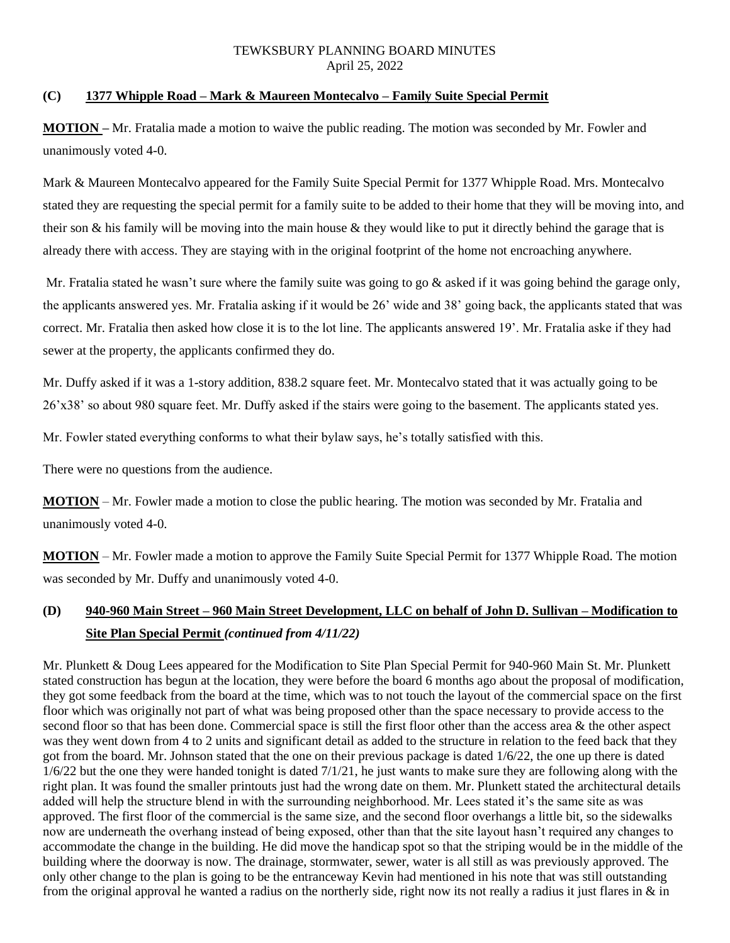# **(C) 1377 Whipple Road – Mark & Maureen Montecalvo – Family Suite Special Permit**

**MOTION –** Mr. Fratalia made a motion to waive the public reading. The motion was seconded by Mr. Fowler and unanimously voted 4-0.

Mark & Maureen Montecalvo appeared for the Family Suite Special Permit for 1377 Whipple Road. Mrs. Montecalvo stated they are requesting the special permit for a family suite to be added to their home that they will be moving into, and their son & his family will be moving into the main house & they would like to put it directly behind the garage that is already there with access. They are staying with in the original footprint of the home not encroaching anywhere.

Mr. Fratalia stated he wasn't sure where the family suite was going to go  $\&$  asked if it was going behind the garage only, the applicants answered yes. Mr. Fratalia asking if it would be 26' wide and 38' going back, the applicants stated that was correct. Mr. Fratalia then asked how close it is to the lot line. The applicants answered 19'. Mr. Fratalia aske if they had sewer at the property, the applicants confirmed they do.

Mr. Duffy asked if it was a 1-story addition, 838.2 square feet. Mr. Montecalvo stated that it was actually going to be 26'x38' so about 980 square feet. Mr. Duffy asked if the stairs were going to the basement. The applicants stated yes.

Mr. Fowler stated everything conforms to what their bylaw says, he's totally satisfied with this.

There were no questions from the audience.

**MOTION** – Mr. Fowler made a motion to close the public hearing. The motion was seconded by Mr. Fratalia and unanimously voted 4-0.

**MOTION** – Mr. Fowler made a motion to approve the Family Suite Special Permit for 1377 Whipple Road. The motion was seconded by Mr. Duffy and unanimously voted 4-0.

# **(D) 940-960 Main Street – 960 Main Street Development, LLC on behalf of John D. Sullivan – Modification to Site Plan Special Permit** *(continued from 4/11/22)*

Mr. Plunkett & Doug Lees appeared for the Modification to Site Plan Special Permit for 940-960 Main St. Mr. Plunkett stated construction has begun at the location, they were before the board 6 months ago about the proposal of modification, they got some feedback from the board at the time, which was to not touch the layout of the commercial space on the first floor which was originally not part of what was being proposed other than the space necessary to provide access to the second floor so that has been done. Commercial space is still the first floor other than the access area & the other aspect was they went down from 4 to 2 units and significant detail as added to the structure in relation to the feed back that they got from the board. Mr. Johnson stated that the one on their previous package is dated 1/6/22, the one up there is dated  $1/6/22$  but the one they were handed tonight is dated  $7/1/21$ , he just wants to make sure they are following along with the right plan. It was found the smaller printouts just had the wrong date on them. Mr. Plunkett stated the architectural details added will help the structure blend in with the surrounding neighborhood. Mr. Lees stated it's the same site as was approved. The first floor of the commercial is the same size, and the second floor overhangs a little bit, so the sidewalks now are underneath the overhang instead of being exposed, other than that the site layout hasn't required any changes to accommodate the change in the building. He did move the handicap spot so that the striping would be in the middle of the building where the doorway is now. The drainage, stormwater, sewer, water is all still as was previously approved. The only other change to the plan is going to be the entranceway Kevin had mentioned in his note that was still outstanding from the original approval he wanted a radius on the northerly side, right now its not really a radius it just flares in  $\&$  in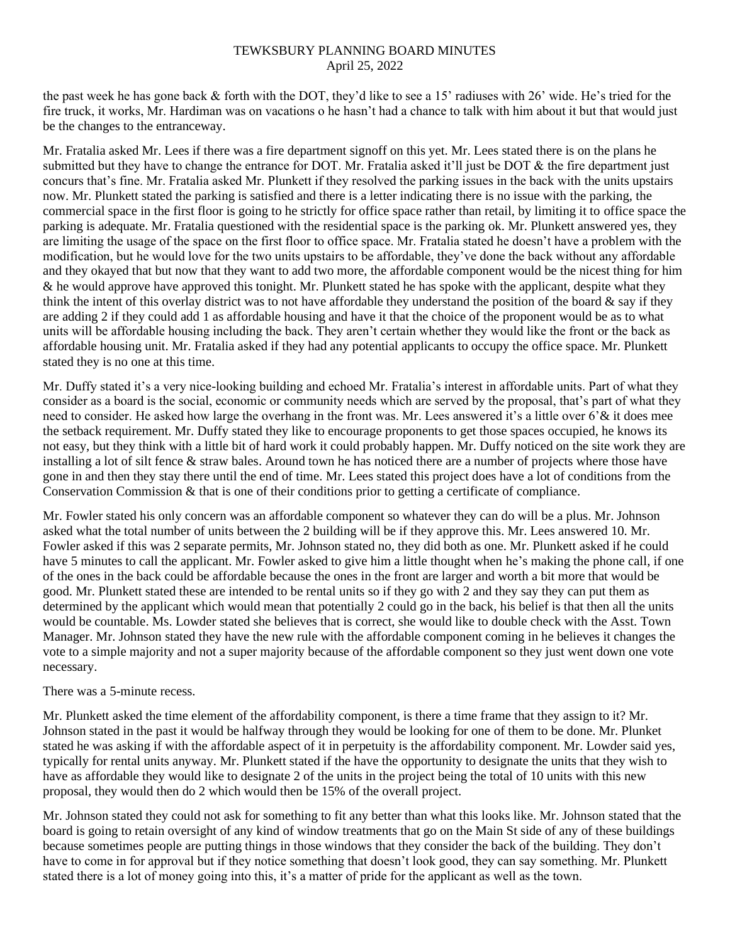the past week he has gone back & forth with the DOT, they'd like to see a 15' radiuses with 26' wide. He's tried for the fire truck, it works, Mr. Hardiman was on vacations o he hasn't had a chance to talk with him about it but that would just be the changes to the entranceway.

Mr. Fratalia asked Mr. Lees if there was a fire department signoff on this yet. Mr. Lees stated there is on the plans he submitted but they have to change the entrance for DOT. Mr. Fratalia asked it'll just be DOT  $\&$  the fire department just concurs that's fine. Mr. Fratalia asked Mr. Plunkett if they resolved the parking issues in the back with the units upstairs now. Mr. Plunkett stated the parking is satisfied and there is a letter indicating there is no issue with the parking, the commercial space in the first floor is going to he strictly for office space rather than retail, by limiting it to office space the parking is adequate. Mr. Fratalia questioned with the residential space is the parking ok. Mr. Plunkett answered yes, they are limiting the usage of the space on the first floor to office space. Mr. Fratalia stated he doesn't have a problem with the modification, but he would love for the two units upstairs to be affordable, they've done the back without any affordable and they okayed that but now that they want to add two more, the affordable component would be the nicest thing for him & he would approve have approved this tonight. Mr. Plunkett stated he has spoke with the applicant, despite what they think the intent of this overlay district was to not have affordable they understand the position of the board  $\&$  say if they are adding 2 if they could add 1 as affordable housing and have it that the choice of the proponent would be as to what units will be affordable housing including the back. They aren't certain whether they would like the front or the back as affordable housing unit. Mr. Fratalia asked if they had any potential applicants to occupy the office space. Mr. Plunkett stated they is no one at this time.

Mr. Duffy stated it's a very nice-looking building and echoed Mr. Fratalia's interest in affordable units. Part of what they consider as a board is the social, economic or community needs which are served by the proposal, that's part of what they need to consider. He asked how large the overhang in the front was. Mr. Lees answered it's a little over 6'& it does mee the setback requirement. Mr. Duffy stated they like to encourage proponents to get those spaces occupied, he knows its not easy, but they think with a little bit of hard work it could probably happen. Mr. Duffy noticed on the site work they are installing a lot of silt fence & straw bales. Around town he has noticed there are a number of projects where those have gone in and then they stay there until the end of time. Mr. Lees stated this project does have a lot of conditions from the Conservation Commission & that is one of their conditions prior to getting a certificate of compliance.

Mr. Fowler stated his only concern was an affordable component so whatever they can do will be a plus. Mr. Johnson asked what the total number of units between the 2 building will be if they approve this. Mr. Lees answered 10. Mr. Fowler asked if this was 2 separate permits, Mr. Johnson stated no, they did both as one. Mr. Plunkett asked if he could have 5 minutes to call the applicant. Mr. Fowler asked to give him a little thought when he's making the phone call, if one of the ones in the back could be affordable because the ones in the front are larger and worth a bit more that would be good. Mr. Plunkett stated these are intended to be rental units so if they go with 2 and they say they can put them as determined by the applicant which would mean that potentially 2 could go in the back, his belief is that then all the units would be countable. Ms. Lowder stated she believes that is correct, she would like to double check with the Asst. Town Manager. Mr. Johnson stated they have the new rule with the affordable component coming in he believes it changes the vote to a simple majority and not a super majority because of the affordable component so they just went down one vote necessary.

### There was a 5-minute recess.

Mr. Plunkett asked the time element of the affordability component, is there a time frame that they assign to it? Mr. Johnson stated in the past it would be halfway through they would be looking for one of them to be done. Mr. Plunket stated he was asking if with the affordable aspect of it in perpetuity is the affordability component. Mr. Lowder said yes, typically for rental units anyway. Mr. Plunkett stated if the have the opportunity to designate the units that they wish to have as affordable they would like to designate 2 of the units in the project being the total of 10 units with this new proposal, they would then do 2 which would then be 15% of the overall project.

Mr. Johnson stated they could not ask for something to fit any better than what this looks like. Mr. Johnson stated that the board is going to retain oversight of any kind of window treatments that go on the Main St side of any of these buildings because sometimes people are putting things in those windows that they consider the back of the building. They don't have to come in for approval but if they notice something that doesn't look good, they can say something. Mr. Plunkett stated there is a lot of money going into this, it's a matter of pride for the applicant as well as the town.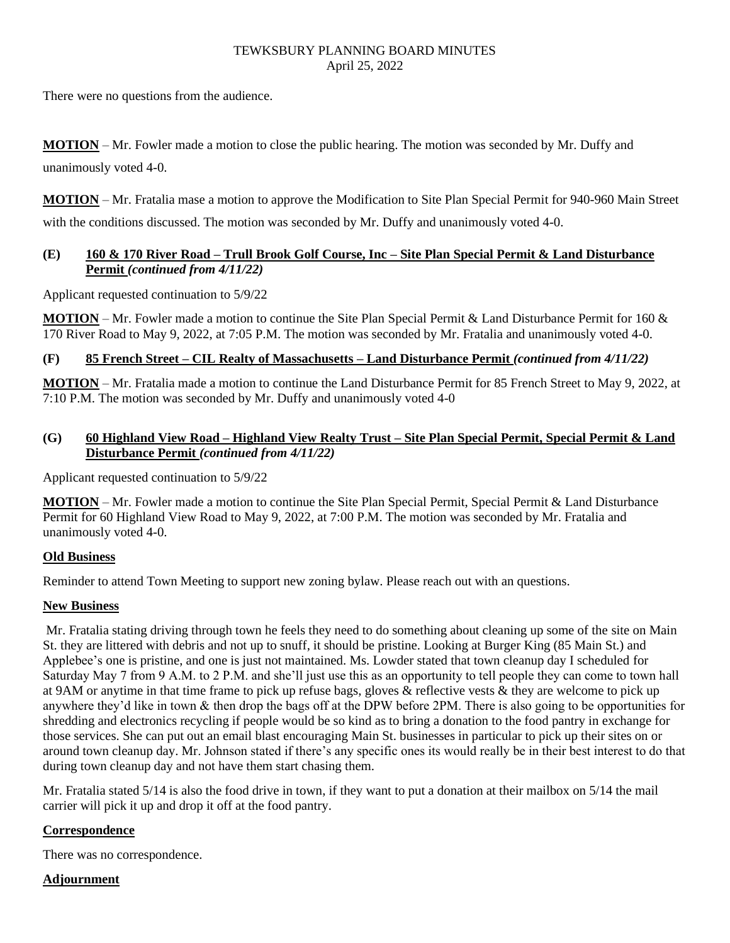There were no questions from the audience.

**MOTION** – Mr. Fowler made a motion to close the public hearing. The motion was seconded by Mr. Duffy and unanimously voted 4-0.

**MOTION** – Mr. Fratalia mase a motion to approve the Modification to Site Plan Special Permit for 940-960 Main Street with the conditions discussed. The motion was seconded by Mr. Duffy and unanimously voted 4-0.

## **(E) 160 & 170 River Road – Trull Brook Golf Course, Inc – Site Plan Special Permit & Land Disturbance Permit** *(continued from 4/11/22)*

Applicant requested continuation to 5/9/22

**MOTION** – Mr. Fowler made a motion to continue the Site Plan Special Permit & Land Disturbance Permit for 160 & 170 River Road to May 9, 2022, at 7:05 P.M. The motion was seconded by Mr. Fratalia and unanimously voted 4-0.

# **(F) 85 French Street – CIL Realty of Massachusetts – Land Disturbance Permit** *(continued from 4/11/22)*

**MOTION** – Mr. Fratalia made a motion to continue the Land Disturbance Permit for 85 French Street to May 9, 2022, at 7:10 P.M. The motion was seconded by Mr. Duffy and unanimously voted 4-0

## **(G) 60 Highland View Road – Highland View Realty Trust – Site Plan Special Permit, Special Permit & Land Disturbance Permit** *(continued from 4/11/22)*

Applicant requested continuation to 5/9/22

**MOTION** – Mr. Fowler made a motion to continue the Site Plan Special Permit, Special Permit & Land Disturbance Permit for 60 Highland View Road to May 9, 2022, at 7:00 P.M. The motion was seconded by Mr. Fratalia and unanimously voted 4-0.

### **Old Business**

Reminder to attend Town Meeting to support new zoning bylaw. Please reach out with an questions.

### **New Business**

Mr. Fratalia stating driving through town he feels they need to do something about cleaning up some of the site on Main St. they are littered with debris and not up to snuff, it should be pristine. Looking at Burger King (85 Main St.) and Applebee's one is pristine, and one is just not maintained. Ms. Lowder stated that town cleanup day I scheduled for Saturday May 7 from 9 A.M. to 2 P.M. and she'll just use this as an opportunity to tell people they can come to town hall at 9AM or anytime in that time frame to pick up refuse bags, gloves & reflective vests & they are welcome to pick up anywhere they'd like in town & then drop the bags off at the DPW before 2PM. There is also going to be opportunities for shredding and electronics recycling if people would be so kind as to bring a donation to the food pantry in exchange for those services. She can put out an email blast encouraging Main St. businesses in particular to pick up their sites on or around town cleanup day. Mr. Johnson stated if there's any specific ones its would really be in their best interest to do that during town cleanup day and not have them start chasing them.

Mr. Fratalia stated 5/14 is also the food drive in town, if they want to put a donation at their mailbox on 5/14 the mail carrier will pick it up and drop it off at the food pantry.

# **Correspondence**

There was no correspondence.

### **Adjournment**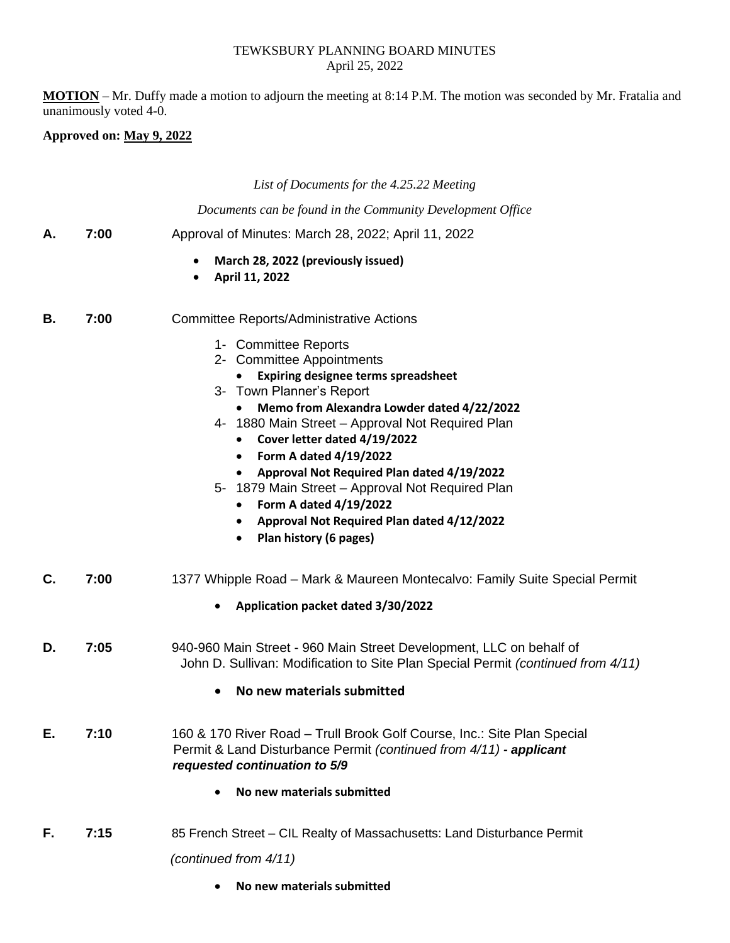**MOTION** – Mr. Duffy made a motion to adjourn the meeting at 8:14 P.M. The motion was seconded by Mr. Fratalia and unanimously voted 4-0.

#### **Approved on: May 9, 2022**

*List of Documents for the 4.25.22 Meeting*

*Documents can be found in the Community Development Office*

- **A. 7:00** Approval of Minutes: March 28, 2022; April 11, 2022
	- **March 28, 2022 (previously issued)**
	- **April 11, 2022**
- **B. 7:00** Committee Reports/Administrative Actions
	- 1- Committee Reports
	- 2- Committee Appointments
		- **Expiring designee terms spreadsheet**
	- 3- Town Planner's Report
		- **Memo from Alexandra Lowder dated 4/22/2022**
	- 4- 1880 Main Street Approval Not Required Plan
		- **Cover letter dated 4/19/2022**
		- **Form A dated 4/19/2022**
		- **Approval Not Required Plan dated 4/19/2022**
	- 5- 1879 Main Street Approval Not Required Plan
		- **Form A dated 4/19/2022**
		- **Approval Not Required Plan dated 4/12/2022**
		- **Plan history (6 pages)**
- **C. 7:00** 1377 Whipple Road Mark & Maureen Montecalvo: Family Suite Special Permit
	- **Application packet dated 3/30/2022**
- **D. 7:05** 940-960 Main Street 960 Main Street Development, LLC on behalf of John D. Sullivan: Modification to Site Plan Special Permit *(continued from 4/11)*
	- **No new materials submitted**
- **E. 7:10** 160 & 170 River Road Trull Brook Golf Course, Inc.: Site Plan Special Permit & Land Disturbance Permit *(continued from 4/11) - applicant requested continuation to 5/9*
	- **No new materials submitted**
- **F. 7:15** 85 French Street CIL Realty of Massachusetts: Land Disturbance Permit *(continued from 4/11)*
	- **No new materials submitted**